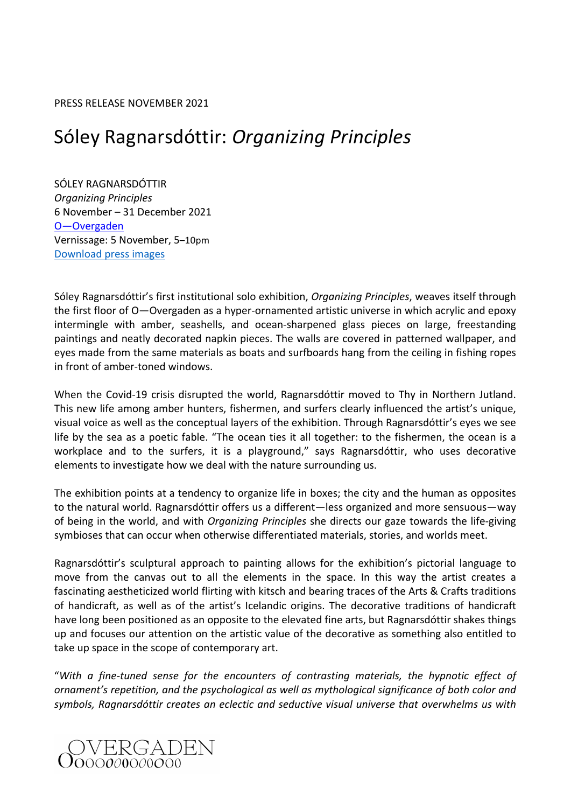PRESS RELEASE NOVEMBER 2021

## Sóley Ragnarsdóttir: *Organizing Principles*

SÓLEY RAGNARSDÓTTIR *Organizing Principles* 6 November – 31 December 2021 O—Overgaden Vernissage: 5 November, 5-10pm Download press images

Sóley Ragnarsdóttir's first institutional solo exhibition, *Organizing Principles*, weaves itself through the first floor of O-Overgaden as a hyper-ornamented artistic universe in which acrylic and epoxy intermingle with amber, seashells, and ocean-sharpened glass pieces on large, freestanding paintings and neatly decorated napkin pieces. The walls are covered in patterned wallpaper, and eyes made from the same materials as boats and surfboards hang from the ceiling in fishing ropes in front of amber-toned windows.

When the Covid-19 crisis disrupted the world, Ragnarsdóttir moved to Thy in Northern Jutland. This new life among amber hunters, fishermen, and surfers clearly influenced the artist's unique, visual voice as well as the conceptual layers of the exhibition. Through Ragnarsdóttir's eyes we see life by the sea as a poetic fable. "The ocean ties it all together: to the fishermen, the ocean is a workplace and to the surfers, it is a playground," says Ragnarsdóttir, who uses decorative elements to investigate how we deal with the nature surrounding us.

The exhibition points at a tendency to organize life in boxes; the city and the human as opposites to the natural world. Ragnarsdóttir offers us a different—less organized and more sensuous—way of being in the world, and with *Organizing Principles* she directs our gaze towards the life-giving symbioses that can occur when otherwise differentiated materials, stories, and worlds meet.

Ragnarsdóttir's sculptural approach to painting allows for the exhibition's pictorial language to move from the canvas out to all the elements in the space. In this way the artist creates a fascinating aestheticized world flirting with kitsch and bearing traces of the Arts & Crafts traditions of handicraft, as well as of the artist's Icelandic origins. The decorative traditions of handicraft have long been positioned as an opposite to the elevated fine arts, but Ragnarsdóttir shakes things up and focuses our attention on the artistic value of the decorative as something also entitled to take up space in the scope of contemporary art.

"With a fine-tuned sense for the encounters of contrasting materials, the hypnotic effect of *ornament's repetition, and the psychological as well as mythological significance of both color and* symbols, Ragnarsdóttir creates an eclectic and seductive visual universe that overwhelms us with